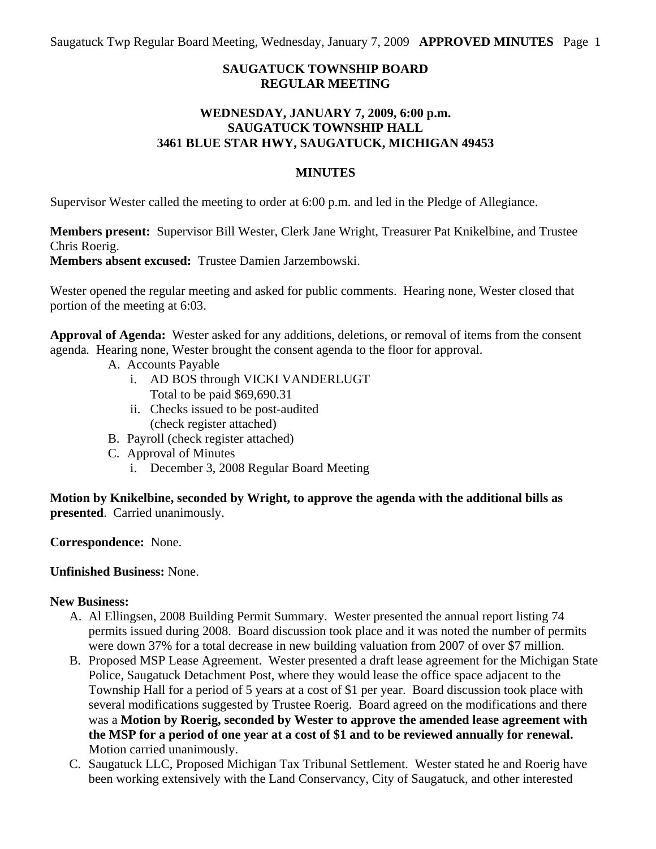Saugatuck Twp Regular Board Meeting, Wednesday, January 7, 2009 **APPROVED MINUTES** Page 1

# **SAUGATUCK TOWNSHIP BOARD REGULAR MEETING**

## **WEDNESDAY, JANUARY 7, 2009, 6:00 p.m. SAUGATUCK TOWNSHIP HALL 3461 BLUE STAR HWY, SAUGATUCK, MICHIGAN 49453**

#### **MINUTES**

Supervisor Wester called the meeting to order at 6:00 p.m. and led in the Pledge of Allegiance.

**Members present:** Supervisor Bill Wester, Clerk Jane Wright, Treasurer Pat Knikelbine, and Trustee Chris Roerig.

**Members absent excused:** Trustee Damien Jarzembowski.

Wester opened the regular meeting and asked for public comments. Hearing none, Wester closed that portion of the meeting at 6:03.

**Approval of Agenda:** Wester asked for any additions, deletions, or removal of items from the consent agenda*.* Hearing none, Wester brought the consent agenda to the floor for approval.

- A. Accounts Payable
	- i. AD BOS through VICKI VANDERLUGT Total to be paid \$69,690.31
	- ii. Checks issued to be post-audited (check register attached)
- B. Payroll (check register attached)
- C. Approval of Minutes
	- i. December 3, 2008 Regular Board Meeting

**Motion by Knikelbine, seconded by Wright, to approve the agenda with the additional bills as presented**. Carried unanimously.

**Correspondence:** None.

# **Unfinished Business:** None.

#### **New Business:**

- A. Al Ellingsen, 2008 Building Permit Summary. Wester presented the annual report listing 74 permits issued during 2008. Board discussion took place and it was noted the number of permits were down 37% for a total decrease in new building valuation from 2007 of over \$7 million.
- B. Proposed MSP Lease Agreement. Wester presented a draft lease agreement for the Michigan State Police, Saugatuck Detachment Post, where they would lease the office space adjacent to the Township Hall for a period of 5 years at a cost of \$1 per year. Board discussion took place with several modifications suggested by Trustee Roerig. Board agreed on the modifications and there was a **Motion by Roerig, seconded by Wester to approve the amended lease agreement with the MSP for a period of one year at a cost of \$1 and to be reviewed annually for renewal.** Motion carried unanimously.
- C. Saugatuck LLC, Proposed Michigan Tax Tribunal Settlement. Wester stated he and Roerig have been working extensively with the Land Conservancy, City of Saugatuck, and other interested